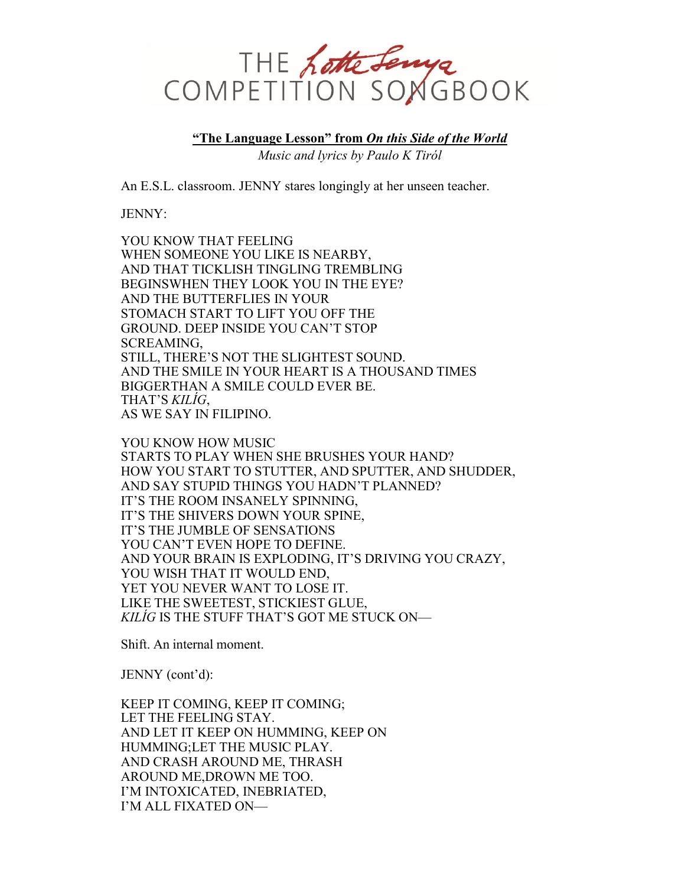

**"The Language Lesson" from** *On this Side of the World Music and lyrics by Paulo K Tiról*

An E.S.L. classroom. JENNY stares longingly at her unseen teacher.

JENNY:

YOU KNOW THAT FEELING WHEN SOMEONE YOU LIKE IS NEARBY, AND THAT TICKLISH TINGLING TREMBLING BEGINSWHEN THEY LOOK YOU IN THE EYE? AND THE BUTTERFLIES IN YOUR STOMACH START TO LIFT YOU OFF THE GROUND. DEEP INSIDE YOU CAN'T STOP SCREAMING, STILL, THERE'S NOT THE SLIGHTEST SOUND. AND THE SMILE IN YOUR HEART IS A THOUSAND TIMES BIGGERTHAN A SMILE COULD EVER BE. THAT'S *KILÍG*, AS WE SAY IN FILIPINO.

YOU KNOW HOW MUSIC STARTS TO PLAY WHEN SHE BRUSHES YOUR HAND? HOW YOU START TO STUTTER, AND SPUTTER, AND SHUDDER, AND SAY STUPID THINGS YOU HADN'T PLANNED? IT'S THE ROOM INSANELY SPINNING, IT'S THE SHIVERS DOWN YOUR SPINE, IT'S THE JUMBLE OF SENSATIONS YOU CAN'T EVEN HOPE TO DEFINE. AND YOUR BRAIN IS EXPLODING, IT'S DRIVING YOU CRAZY, YOU WISH THAT IT WOULD END, YET YOU NEVER WANT TO LOSE IT. LIKE THE SWEETEST, STICKIEST GLUE, *KILÍG* IS THE STUFF THAT'S GOT ME STUCK ON—

Shift. An internal moment.

JENNY (cont'd):

KEEP IT COMING, KEEP IT COMING; LET THE FEELING STAY. AND LET IT KEEP ON HUMMING, KEEP ON HUMMING;LET THE MUSIC PLAY. AND CRASH AROUND ME, THRASH AROUND ME,DROWN ME TOO. I'M INTOXICATED, INEBRIATED, I'M ALL FIXATED ON—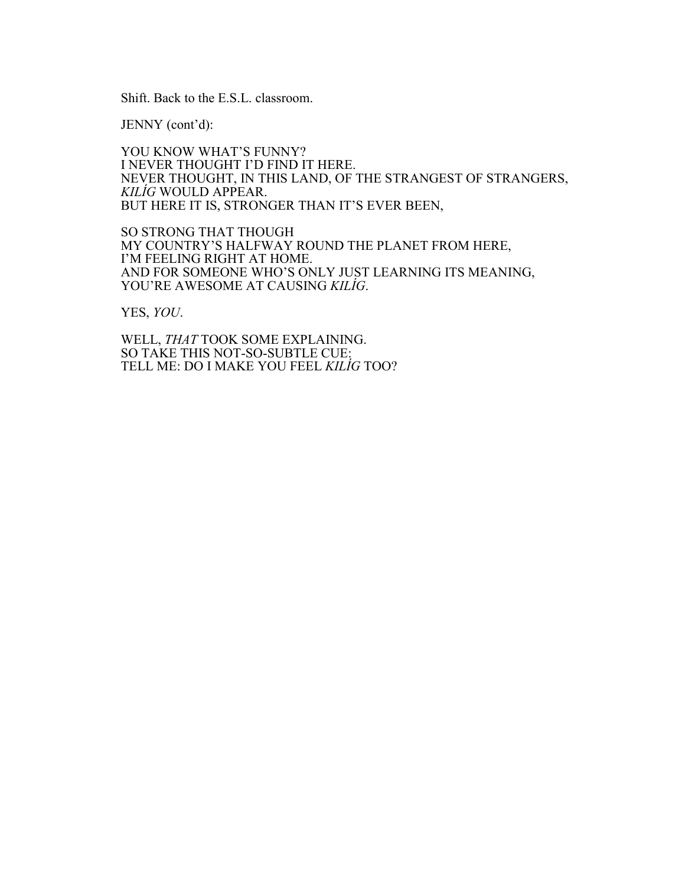Shift. Back to the E.S.L. classroom.

JENNY (cont'd):

YOU KNOW WHAT'S FUNNY? I NEVER THOUGHT I'D FIND IT HERE. NEVER THOUGHT, IN THIS LAND, OF THE STRANGEST OF STRANGERS, *KILÍG* WOULD APPEAR. BUT HERE IT IS, STRONGER THAN IT'S EVER BEEN,

SO STRONG THAT THOUGH MY COUNTRY'S HALFWAY ROUND THE PLANET FROM HERE, I'M FEELING RIGHT AT HOME. AND FOR SOMEONE WHO'S ONLY JUST LEARNING ITS MEANING, YOU'RE AWESOME AT CAUSING *KILÍG*.

YES, *YOU*.

WELL, *THAT* TOOK SOME EXPLAINING. SO TAKE THIS NOT-SO-SUBTLE CUE: TELL ME: DO I MAKE YOU FEEL *KILÍG* TOO?